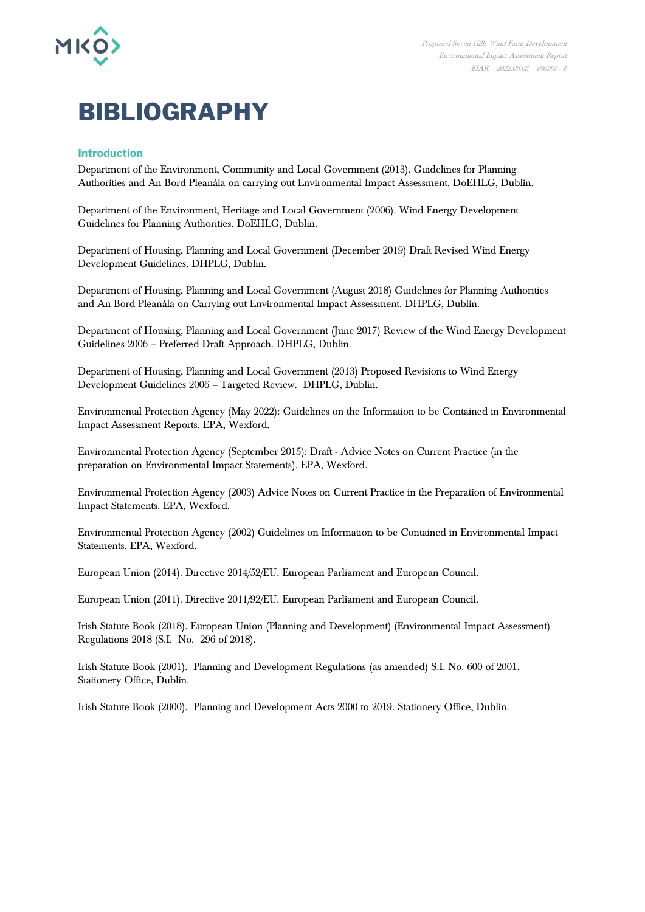

# **BIBLIOGRAPHY**

## **Introduction**

Department of the Environment, Community and Local Government (2013). Guidelines for Planning Authorities and An Bord Pleanála on carrying out Environmental Impact Assessment. DoEHLG, Dublin.

Department of the Environment, Heritage and Local Government (2006). Wind Energy Development Guidelines for Planning Authorities. DoEHLG, Dublin.

Department of Housing, Planning and Local Government (December 2019) Draft Revised Wind Energy Development Guidelines. DHPLG, Dublin.

Department of Housing, Planning and Local Government (August 2018) Guidelines for Planning Authorities and An Bord Pleanála on Carrying out Environmental Impact Assessment. DHPLG, Dublin.

Department of Housing, Planning and Local Government (June 2017) Review of the Wind Energy Development Guidelines 2006 – Preferred Draft Approach. DHPLG, Dublin.

Department of Housing, Planning and Local Government (2013) Proposed Revisions to Wind Energy Development Guidelines 2006 – Targeted Review. DHPLG, Dublin.

Environmental Protection Agency (May 2022): Guidelines on the Information to be Contained in Environmental Impact Assessment Reports. EPA, Wexford.

Environmental Protection Agency (September 2015): Draft - Advice Notes on Current Practice (in the preparation on Environmental Impact Statements). EPA, Wexford.

Environmental Protection Agency (2003) Advice Notes on Current Practice in the Preparation of Environmental Impact Statements. EPA, Wexford.

Environmental Protection Agency (2002) Guidelines on Information to be Contained in Environmental Impact Statements. EPA, Wexford.

European Union (2014). Directive 2014/52/EU. European Parliament and European Council.

European Union (2011). Directive 2011/92/EU. European Parliament and European Council.

Irish Statute Book (2018). European Union (Planning and Development) (Environmental Impact Assessment) Regulations 2018 (S.I. No. 296 of 2018).

Irish Statute Book (2001). Planning and Development Regulations (as amended) S.I. No. 600 of 2001. Stationery Office, Dublin.

Irish Statute Book (2000). Planning and Development Acts 2000 to 2019. Stationery Office, Dublin.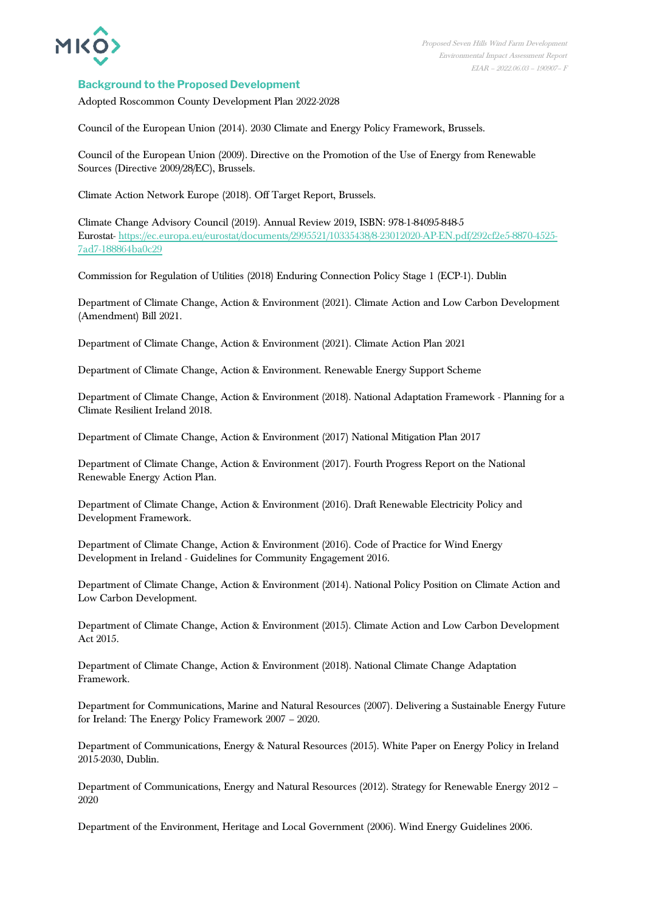

## **Background to the Proposed Development**

Adopted Roscommon County Development Plan 2022-2028

Council of the European Union (2014). 2030 Climate and Energy Policy Framework, Brussels.

Council of the European Union (2009). Directive on the Promotion of the Use of Energy from Renewable Sources (Directive 2009/28/EC), Brussels.

Climate Action Network Europe (2018). Off Target Report, Brussels.

Climate Change Advisory Council (2019). Annual Review 2019, ISBN: 978-1-84095-848-5 Eurostat- [https://ec.europa.eu/eurostat/documents/2995521/10335438/8-23012020-AP-EN.pdf/292cf2e5-8870-4525-](https://ec.europa.eu/eurostat/documents/2995521/10335438/8-23012020-AP-EN.pdf/292cf2e5-8870-4525-7ad7-188864ba0c29) [7ad7-188864ba0c29](https://ec.europa.eu/eurostat/documents/2995521/10335438/8-23012020-AP-EN.pdf/292cf2e5-8870-4525-7ad7-188864ba0c29)

Commission for Regulation of Utilities (2018) Enduring Connection Policy Stage 1 (ECP-1). Dublin

Department of Climate Change, Action & Environment (2021). Climate Action and Low Carbon Development (Amendment) Bill 2021.

Department of Climate Change, Action & Environment (2021). Climate Action Plan 2021

Department of Climate Change, Action & Environment. Renewable Energy Support Scheme

Department of Climate Change, Action & Environment (2018). National Adaptation Framework - Planning for a Climate Resilient Ireland 2018.

Department of Climate Change, Action & Environment (2017) National Mitigation Plan 2017

Department of Climate Change, Action & Environment (2017). Fourth Progress Report on the National Renewable Energy Action Plan.

Department of Climate Change, Action & Environment (2016). Draft Renewable Electricity Policy and Development Framework.

Department of Climate Change, Action & Environment (2016). Code of Practice for Wind Energy Development in Ireland - Guidelines for Community Engagement 2016.

Department of Climate Change, Action & Environment (2014). National Policy Position on Climate Action and Low Carbon Development.

Department of Climate Change, Action & Environment (2015). Climate Action and Low Carbon Development Act 2015.

Department of Climate Change, Action & Environment (2018). National Climate Change Adaptation Framework.

Department for Communications, Marine and Natural Resources (2007). Delivering a Sustainable Energy Future for Ireland: The Energy Policy Framework 2007 – 2020.

Department of Communications, Energy & Natural Resources (2015). White Paper on Energy Policy in Ireland 2015-2030, Dublin.

Department of Communications, Energy and Natural Resources (2012). Strategy for Renewable Energy 2012 – 2020

Department of the Environment, Heritage and Local Government (2006). Wind Energy Guidelines 2006.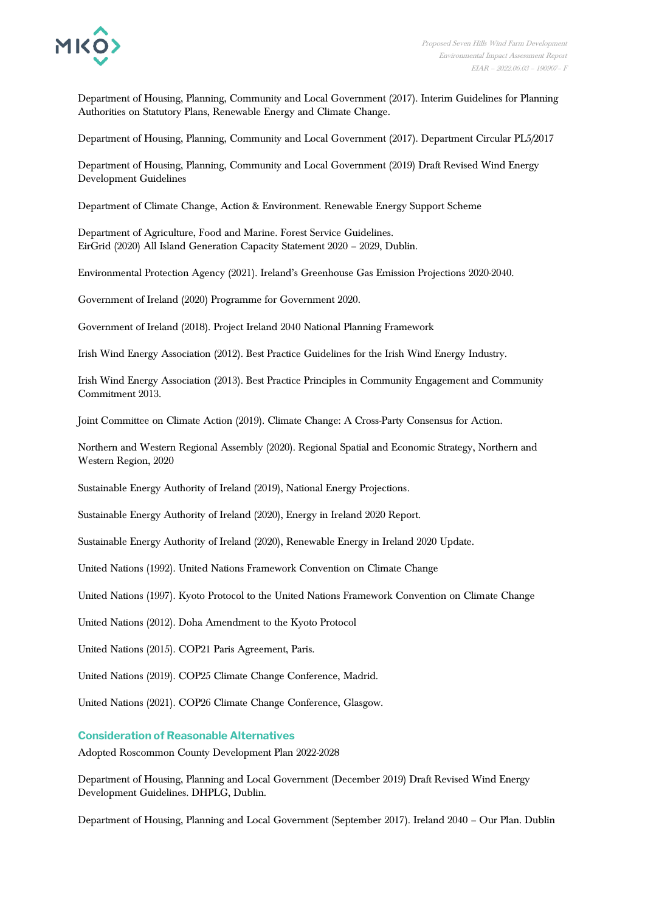

Department of Housing, Planning, Community and Local Government (2017). Interim Guidelines for Planning Authorities on Statutory Plans, Renewable Energy and Climate Change.

Department of Housing, Planning, Community and Local Government (2017). Department Circular PL5/2017

Department of Housing, Planning, Community and Local Government (2019) Draft Revised Wind Energy Development Guidelines

Department of Climate Change, Action & Environment. Renewable Energy Support Scheme

Department of Agriculture, Food and Marine. Forest Service Guidelines. EirGrid (2020) All Island Generation Capacity Statement 2020 – 2029, Dublin.

Environmental Protection Agency (2021). Ireland's Greenhouse Gas Emission Projections 2020-2040.

Government of Ireland (2020) Programme for Government 2020.

Government of Ireland (2018). Project Ireland 2040 National Planning Framework

Irish Wind Energy Association (2012). Best Practice Guidelines for the Irish Wind Energy Industry.

Irish Wind Energy Association (2013). Best Practice Principles in Community Engagement and Community Commitment 2013.

Joint Committee on Climate Action (2019). Climate Change: A Cross-Party Consensus for Action.

Northern and Western Regional Assembly (2020). Regional Spatial and Economic Strategy, Northern and Western Region, 2020

Sustainable Energy Authority of Ireland (2019), National Energy Projections.

Sustainable Energy Authority of Ireland (2020), Energy in Ireland 2020 Report.

Sustainable Energy Authority of Ireland (2020), Renewable Energy in Ireland 2020 Update.

United Nations (1992). United Nations Framework Convention on Climate Change

United Nations (1997). Kyoto Protocol to the United Nations Framework Convention on Climate Change

United Nations (2012). Doha Amendment to the Kyoto Protocol

United Nations (2015). COP21 Paris Agreement, Paris.

United Nations (2019). COP25 Climate Change Conference, Madrid.

United Nations (2021). COP26 Climate Change Conference, Glasgow.

### **Consideration of Reasonable Alternatives**

Adopted Roscommon County Development Plan 2022-2028

Department of Housing, Planning and Local Government (December 2019) Draft Revised Wind Energy Development Guidelines. DHPLG, Dublin.

Department of Housing, Planning and Local Government (September 2017). Ireland 2040 – Our Plan. Dublin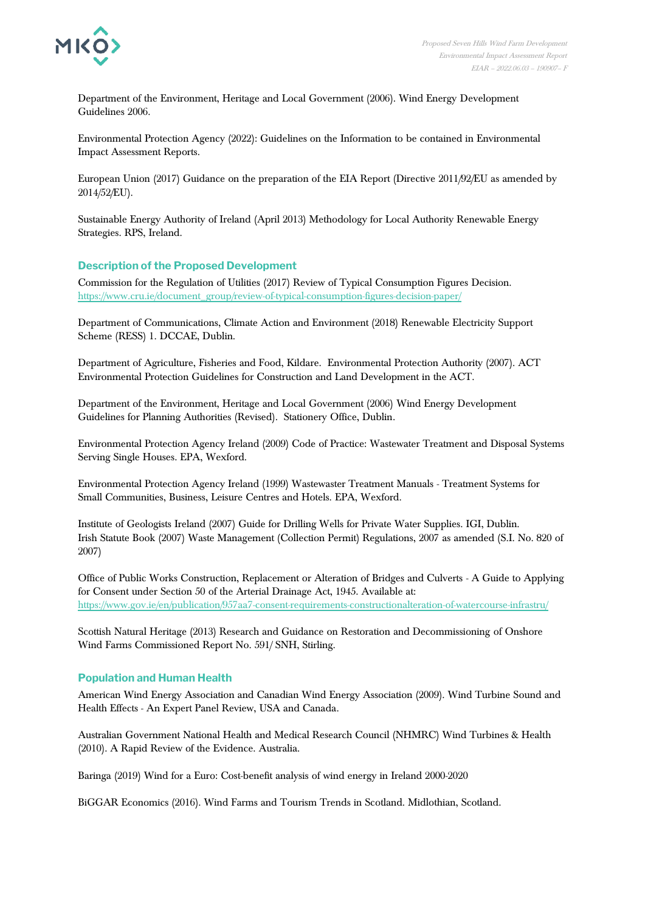

Department of the Environment, Heritage and Local Government (2006). Wind Energy Development Guidelines 2006.

Environmental Protection Agency (2022): Guidelines on the Information to be contained in Environmental Impact Assessment Reports.

European Union (2017) Guidance on the preparation of the EIA Report (Directive 2011/92/EU as amended by 2014/52/EU).

Sustainable Energy Authority of Ireland (April 2013) Methodology for Local Authority Renewable Energy Strategies. RPS, Ireland.

## **Description of the Proposed Development**

Commission for the Regulation of Utilities (2017) Review of Typical Consumption Figures Decision. [https://www.cru.ie/document\\_group/review-of-typical-consumption-figures-decision-paper/](https://www.cru.ie/document_group/review-of-typical-consumption-figures-decision-paper/)

Department of Communications, Climate Action and Environment (2018) Renewable Electricity Support Scheme (RESS) 1. DCCAE, Dublin.

Department of Agriculture, Fisheries and Food, Kildare. Environmental Protection Authority (2007). ACT Environmental Protection Guidelines for Construction and Land Development in the ACT.

Department of the Environment, Heritage and Local Government (2006) Wind Energy Development Guidelines for Planning Authorities (Revised). Stationery Office, Dublin.

Environmental Protection Agency Ireland (2009) Code of Practice: Wastewater Treatment and Disposal Systems Serving Single Houses. EPA, Wexford.

Environmental Protection Agency Ireland (1999) Wastewaster Treatment Manuals - Treatment Systems for Small Communities, Business, Leisure Centres and Hotels. EPA, Wexford.

Institute of Geologists Ireland (2007) Guide for Drilling Wells for Private Water Supplies. IGI, Dublin. Irish Statute Book (2007) Waste Management (Collection Permit) Regulations, 2007 as amended (S.I. No. 820 of 2007)

Office of Public Works Construction, Replacement or Alteration of Bridges and Culverts - A Guide to Applying for Consent under Section 50 of the Arterial Drainage Act, 1945. Available at: <https://www.gov.ie/en/publication/957aa7-consent-requirements-constructionalteration-of-watercourse-infrastru/>

Scottish Natural Heritage (2013) Research and Guidance on Restoration and Decommissioning of Onshore Wind Farms Commissioned Report No. 591/ SNH, Stirling.

## **Population and Human Health**

American Wind Energy Association and Canadian Wind Energy Association (2009). Wind Turbine Sound and Health Effects - An Expert Panel Review, USA and Canada.

Australian Government National Health and Medical Research Council (NHMRC) Wind Turbines & Health (2010). A Rapid Review of the Evidence. Australia.

Baringa (2019) Wind for a Euro: Cost-benefit analysis of wind energy in Ireland 2000-2020

BiGGAR Economics (2016). Wind Farms and Tourism Trends in Scotland. Midlothian, Scotland.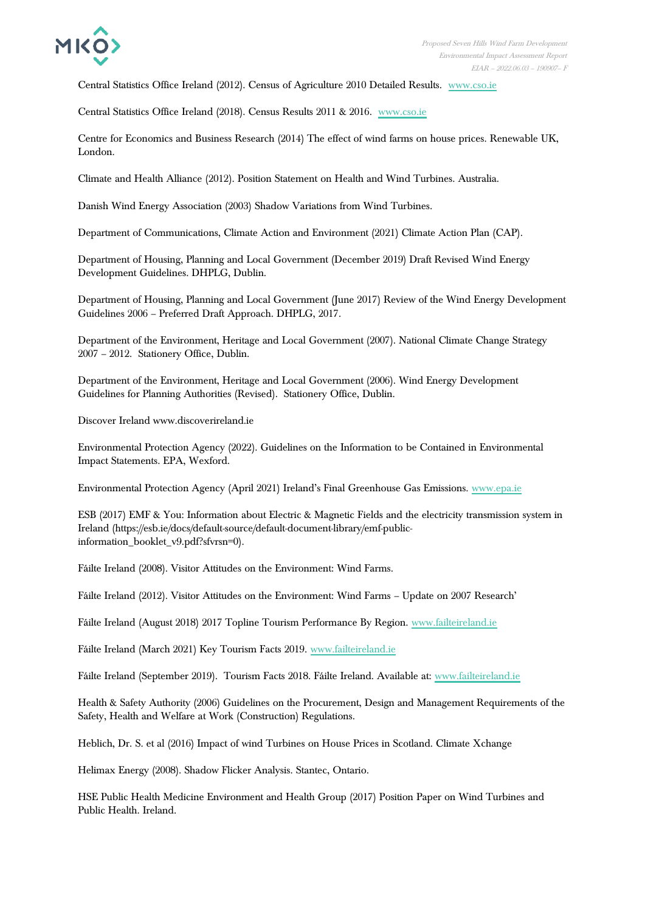

Central Statistics Office Ireland (2012). Census of Agriculture 2010 Detailed Results. [www.cso.ie](http://www.cso.ie/)

Central Statistics Office Ireland (2018). Census Results 2011 & 2016. [www.cso.ie](http://www.cso.ie/)

Centre for Economics and Business Research (2014) The effect of wind farms on house prices. Renewable UK, London.

Climate and Health Alliance (2012). Position Statement on Health and Wind Turbines. Australia.

Danish Wind Energy Association (2003) Shadow Variations from Wind Turbines.

Department of Communications, Climate Action and Environment (2021) Climate Action Plan (CAP).

Department of Housing, Planning and Local Government (December 2019) Draft Revised Wind Energy Development Guidelines. DHPLG, Dublin.

Department of Housing, Planning and Local Government (June 2017) Review of the Wind Energy Development Guidelines 2006 – Preferred Draft Approach. DHPLG, 2017.

Department of the Environment, Heritage and Local Government (2007). National Climate Change Strategy 2007 – 2012. Stationery Office, Dublin.

Department of the Environment, Heritage and Local Government (2006). Wind Energy Development Guidelines for Planning Authorities (Revised). Stationery Office, Dublin.

Discover Ireland www.discoverireland.ie

Environmental Protection Agency (2022). Guidelines on the Information to be Contained in Environmental Impact Statements. EPA, Wexford.

Environmental Protection Agency (April 2021) Ireland's Final Greenhouse Gas Emissions. [www.epa.ie](https://www.epa.ie/publications/monitoring--assessment/climate-change/air-emissions/05690-EPA-GHG-Inventory-Report-Final.pdf)

ESB (2017) EMF & You: Information about Electric & Magnetic Fields and the electricity transmission system in Ireland (https://esb.ie/docs/default-source/default-document-library/emf-publicinformation\_booklet\_v9.pdf?sfvrsn=0).

Fáilte Ireland (2008). Visitor Attitudes on the Environment: Wind Farms.

Fáilte Ireland (2012). Visitor Attitudes on the Environment: Wind Farms – Update on 2007 Research'

Fáilte Ireland (August 2018) 2017 Topline Tourism Performance By Region. [www.failteireland.ie](https://www.failteireland.ie/FailteIreland/media/WebsiteStructure/Documents/3_Research_Insights/2_Regional_SurveysReports/2017-topline-regional-performance-(003).pdf?ext=.pdf)

Fáilte Ireland (March 2021) Key Tourism Facts 2019. [www.failteireland.ie](https://www.failteireland.ie/FailteIreland/media/WebsiteStructure/Documents/3_Research_Insights/4_Visitor_Insights/KeyTourismFacts_2019.pdf?ext=.pdf)

Fáilte Ireland (September 2019). Tourism Facts 2018. Fáilte Ireland. Available at: [www.failteireland.ie](http://www.failteireland.ie/)

Health & Safety Authority (2006) Guidelines on the Procurement, Design and Management Requirements of the Safety, Health and Welfare at Work (Construction) Regulations.

Heblich, Dr. S. et al (2016) Impact of wind Turbines on House Prices in Scotland. Climate Xchange

Helimax Energy (2008). Shadow Flicker Analysis. Stantec, Ontario.

HSE Public Health Medicine Environment and Health Group (2017) Position Paper on Wind Turbines and Public Health. Ireland.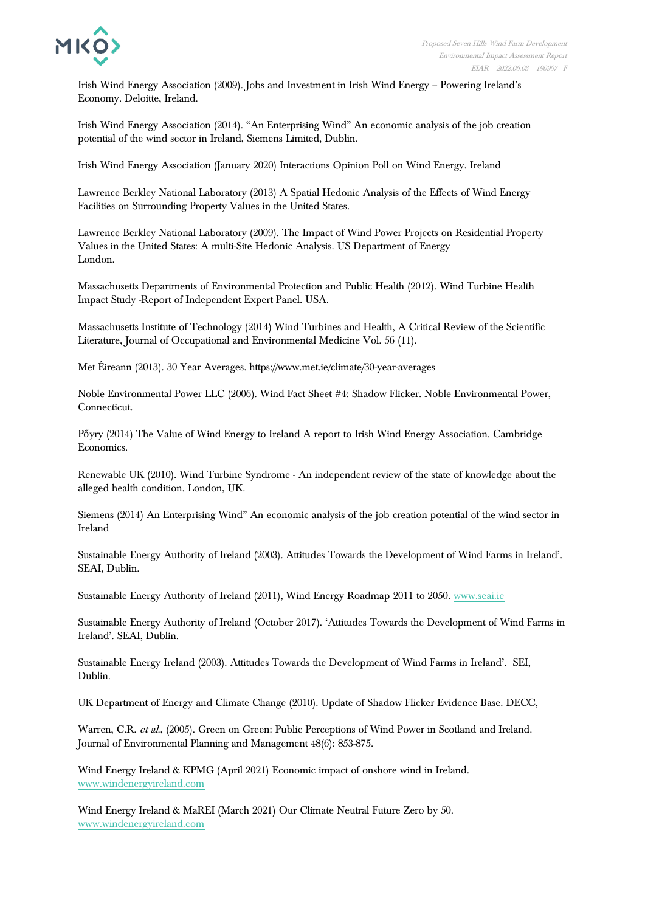

Irish Wind Energy Association (2009). Jobs and Investment in Irish Wind Energy – Powering Ireland's Economy. Deloitte, Ireland.

Irish Wind Energy Association (2014). "An Enterprising Wind" An economic analysis of the job creation potential of the wind sector in Ireland, Siemens Limited, Dublin.

Irish Wind Energy Association (January 2020) Interactions Opinion Poll on Wind Energy. Ireland

Lawrence Berkley National Laboratory (2013) A Spatial Hedonic Analysis of the Effects of Wind Energy Facilities on Surrounding Property Values in the United States.

Lawrence Berkley National Laboratory (2009). The Impact of Wind Power Projects on Residential Property Values in the United States: A multi-Site Hedonic Analysis. US Department of Energy London.

Massachusetts Departments of Environmental Protection and Public Health (2012). Wind Turbine Health Impact Study -Report of Independent Expert Panel. USA.

Massachusetts Institute of Technology (2014) Wind Turbines and Health, A Critical Review of the Scientific Literature, Journal of Occupational and Environmental Medicine Vol. 56 (11).

Met Éireann (2013). 30 Year Averages. https://www.met.ie/climate/30-year-averages

Noble Environmental Power LLC (2006). Wind Fact Sheet #4: Shadow Flicker. Noble Environmental Power, Connecticut.

Pőyry (2014) The Value of Wind Energy to Ireland A report to Irish Wind Energy Association. Cambridge Economics.

Renewable UK (2010). Wind Turbine Syndrome - An independent review of the state of knowledge about the alleged health condition. London, UK.

Siemens (2014) An Enterprising Wind" An economic analysis of the job creation potential of the wind sector in Ireland

Sustainable Energy Authority of Ireland (2003). Attitudes Towards the Development of Wind Farms in Ireland'. SEAI, Dublin.

Sustainable Energy Authority of Ireland (2011), Wind Energy Roadmap 2011 to 2050[. www.seai.ie](https://www.seai.ie/publications/Wind_Energy_Roadmap_2011-2050.pdf)

Sustainable Energy Authority of Ireland (October 2017). 'Attitudes Towards the Development of Wind Farms in Ireland'. SEAI, Dublin.

Sustainable Energy Ireland (2003). Attitudes Towards the Development of Wind Farms in Ireland'. SEI, Dublin.

UK Department of Energy and Climate Change (2010). Update of Shadow Flicker Evidence Base. DECC,

Warren, C.R. et al., (2005). Green on Green: Public Perceptions of Wind Power in Scotland and Ireland. Journal of Environmental Planning and Management 48(6): 853-875.

Wind Energy Ireland & KPMG (April 2021) Economic impact of onshore wind in Ireland. [www.windenergyireland.com](http://www.windenergyireland.com/)

Wind Energy Ireland & MaREI (March 2021) Our Climate Neutral Future Zero by 50. [www.windenergyireland.com](https://windenergyireland.com/images/files/our-climate-neutral-future-0by50-final-report.pdf)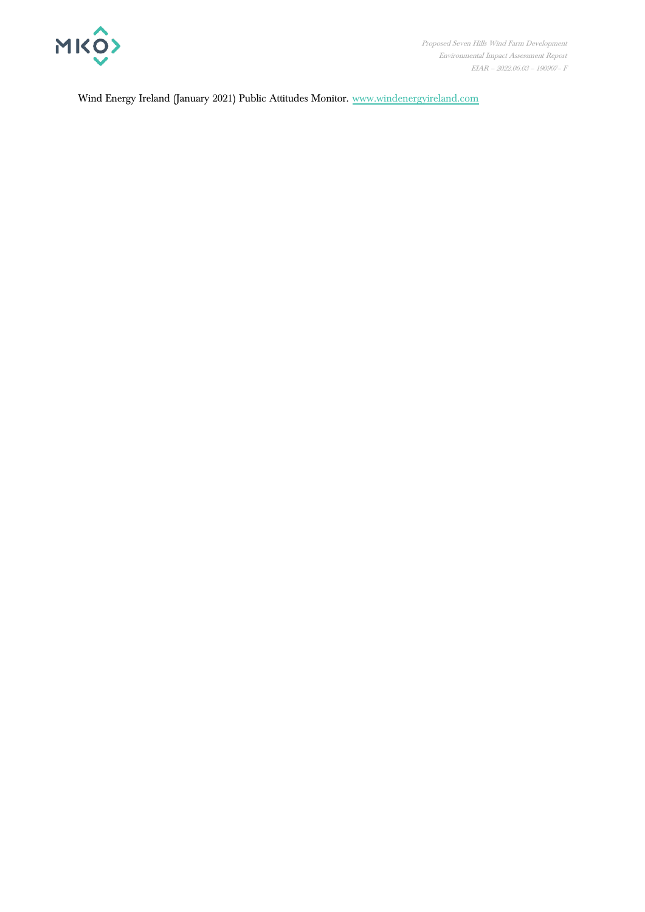

Wind Energy Ireland (January 2021) Public Attitudes Monitor. [www.windenergyireland.com](https://windenergyireland.com/images/files/2032-wei-version-2020-for-media.pdf)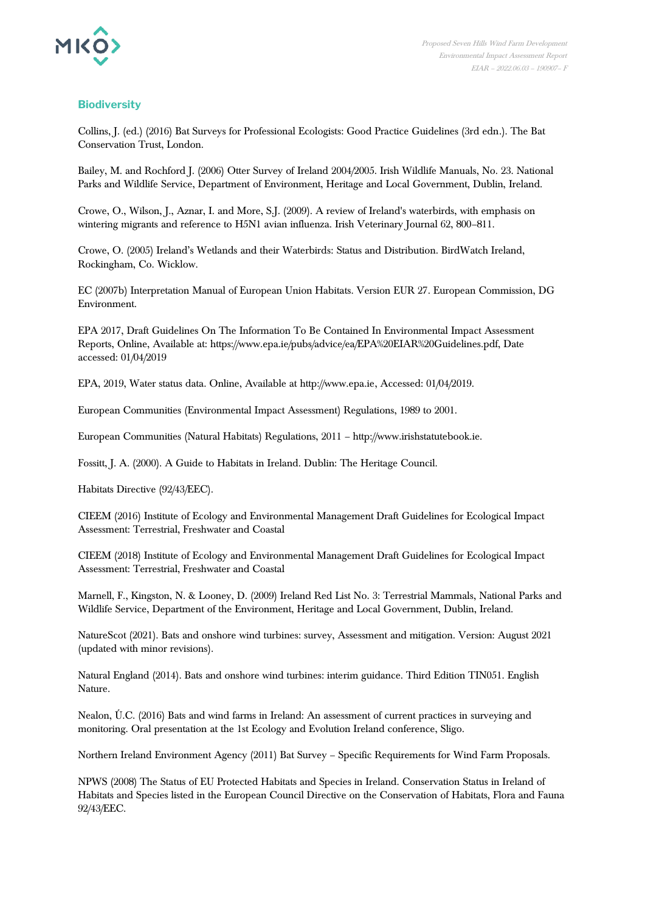

## **Biodiversity**

Collins, J. (ed.) (2016) Bat Surveys for Professional Ecologists: Good Practice Guidelines (3rd edn.). The Bat Conservation Trust, London.

Bailey, M. and Rochford J. (2006) Otter Survey of Ireland 2004/2005. Irish Wildlife Manuals, No. 23. National Parks and Wildlife Service, Department of Environment, Heritage and Local Government, Dublin, Ireland.

Crowe, O., Wilson, J., Aznar, I. and More, S.J. (2009). A review of Ireland's waterbirds, with emphasis on wintering migrants and reference to H5N1 avian influenza. Irish Veterinary Journal 62, 800–811.

Crowe, O. (2005) Ireland's Wetlands and their Waterbirds: Status and Distribution. BirdWatch Ireland, Rockingham, Co. Wicklow.

EC (2007b) Interpretation Manual of European Union Habitats. Version EUR 27. European Commission, DG Environment.

EPA 2017, Draft Guidelines On The Information To Be Contained In Environmental Impact Assessment Reports, Online, Available at: https://www.epa.ie/pubs/advice/ea/EPA%20EIAR%20Guidelines.pdf, Date accessed: 01/04/2019

EPA, 2019, Water status data. Online, Available at http://www.epa.ie, Accessed: 01/04/2019.

European Communities (Environmental Impact Assessment) Regulations, 1989 to 2001.

European Communities (Natural Habitats) Regulations, 2011 – http://www.irishstatutebook.ie.

Fossitt, J. A. (2000). A Guide to Habitats in Ireland. Dublin: The Heritage Council.

Habitats Directive (92/43/EEC).

CIEEM (2016) Institute of Ecology and Environmental Management Draft Guidelines for Ecological Impact Assessment: Terrestrial, Freshwater and Coastal

CIEEM (2018) Institute of Ecology and Environmental Management Draft Guidelines for Ecological Impact Assessment: Terrestrial, Freshwater and Coastal

Marnell, F., Kingston, N. & Looney, D. (2009) Ireland Red List No. 3: Terrestrial Mammals, National Parks and Wildlife Service, Department of the Environment, Heritage and Local Government, Dublin, Ireland.

NatureScot (2021). Bats and onshore wind turbines: survey, Assessment and mitigation. Version: August 2021 (updated with minor revisions).

Natural England (2014). Bats and onshore wind turbines: interim guidance. Third Edition TIN051. English Nature.

Nealon, Ú.C. (2016) Bats and wind farms in Ireland: An assessment of current practices in surveying and monitoring. Oral presentation at the 1st Ecology and Evolution Ireland conference, Sligo.

Northern Ireland Environment Agency (2011) Bat Survey – Specific Requirements for Wind Farm Proposals.

NPWS (2008) The Status of EU Protected Habitats and Species in Ireland. Conservation Status in Ireland of Habitats and Species listed in the European Council Directive on the Conservation of Habitats, Flora and Fauna 92/43/EEC.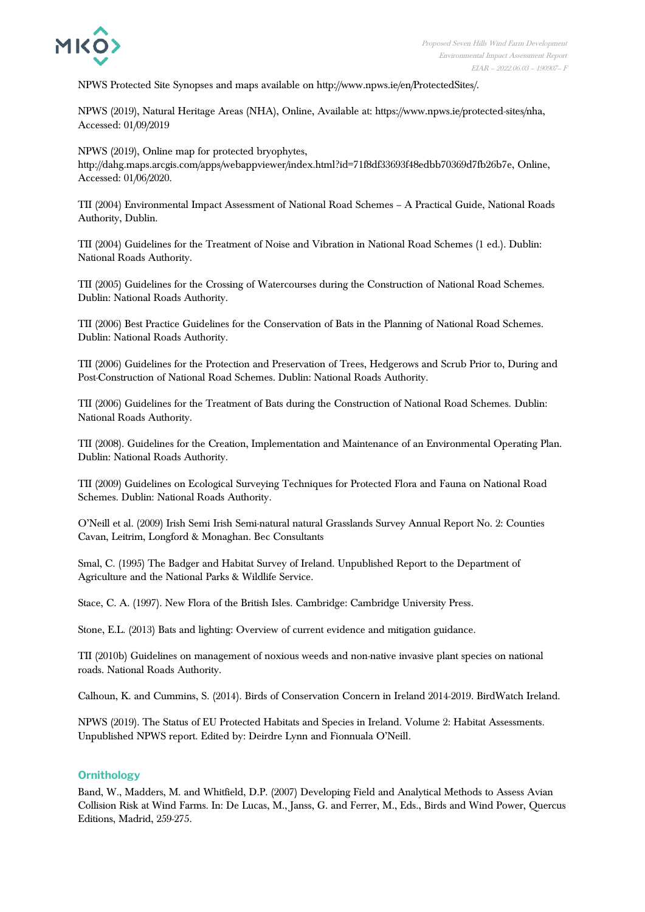

NPWS Protected Site Synopses and maps available on http://www.npws.ie/en/ProtectedSites/.

NPWS (2019), Natural Heritage Areas (NHA), Online, Available at: https://www.npws.ie/protected-sites/nha, Accessed: 01/09/2019

NPWS (2019), Online map for protected bryophytes,

http://dahg.maps.arcgis.com/apps/webappviewer/index.html?id=71f8df33693f48edbb70369d7fb26b7e, Online, Accessed: 01/06/2020.

TII (2004) Environmental Impact Assessment of National Road Schemes – A Practical Guide, National Roads Authority, Dublin.

TII (2004) Guidelines for the Treatment of Noise and Vibration in National Road Schemes (1 ed.). Dublin: National Roads Authority.

TII (2005) Guidelines for the Crossing of Watercourses during the Construction of National Road Schemes. Dublin: National Roads Authority.

TII (2006) Best Practice Guidelines for the Conservation of Bats in the Planning of National Road Schemes. Dublin: National Roads Authority.

TII (2006) Guidelines for the Protection and Preservation of Trees, Hedgerows and Scrub Prior to, During and Post-Construction of National Road Schemes. Dublin: National Roads Authority.

TII (2006) Guidelines for the Treatment of Bats during the Construction of National Road Schemes. Dublin: National Roads Authority.

TII (2008). Guidelines for the Creation, Implementation and Maintenance of an Environmental Operating Plan. Dublin: National Roads Authority.

TII (2009) Guidelines on Ecological Surveying Techniques for Protected Flora and Fauna on National Road Schemes. Dublin: National Roads Authority.

O'Neill et al. (2009) Irish Semi Irish Semi-natural natural Grasslands Survey Annual Report No. 2: Counties Cavan, Leitrim, Longford & Monaghan. Bec Consultants

Smal, C. (1995) The Badger and Habitat Survey of Ireland. Unpublished Report to the Department of Agriculture and the National Parks & Wildlife Service.

Stace, C. A. (1997). New Flora of the British Isles. Cambridge: Cambridge University Press.

Stone, E.L. (2013) Bats and lighting: Overview of current evidence and mitigation guidance.

TII (2010b) Guidelines on management of noxious weeds and non-native invasive plant species on national roads. National Roads Authority.

Calhoun, K. and Cummins, S. (2014). Birds of Conservation Concern in Ireland 2014-2019. BirdWatch Ireland.

NPWS (2019). The Status of EU Protected Habitats and Species in Ireland. Volume 2: Habitat Assessments. Unpublished NPWS report. Edited by: Deirdre Lynn and Fionnuala O'Neill.

### **Ornithology**

Band, W., Madders, M. and Whitfield, D.P. (2007) Developing Field and Analytical Methods to Assess Avian Collision Risk at Wind Farms. In: De Lucas, M., Janss, G. and Ferrer, M., Eds., Birds and Wind Power, Quercus Editions, Madrid, 259-275.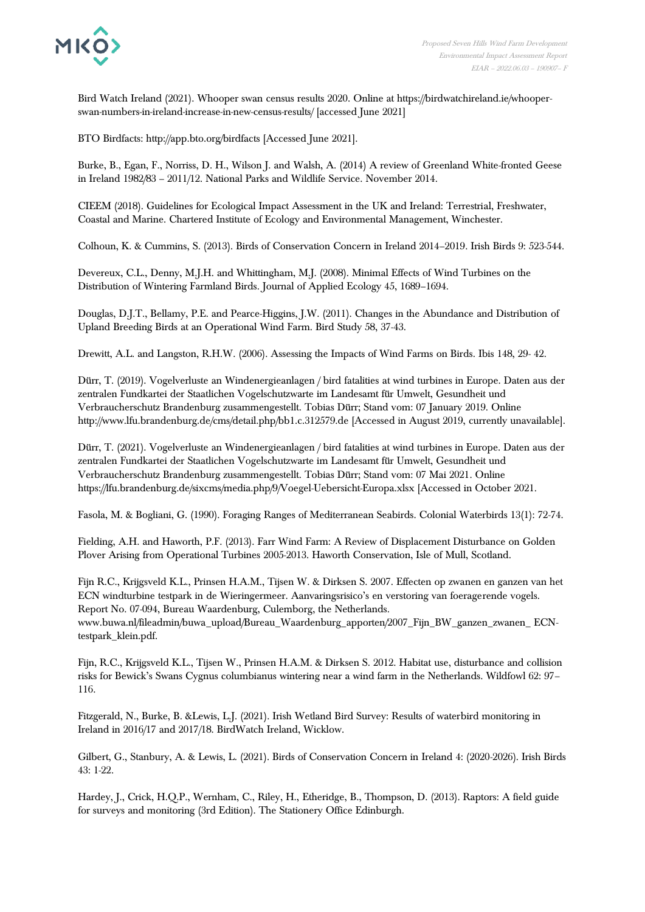

Bird Watch Ireland (2021). Whooper swan census results 2020. Online at https://birdwatchireland.ie/whooperswan-numbers-in-ireland-increase-in-new-census-results/ [accessed June 2021]

BTO Birdfacts: http://app.bto.org/birdfacts [Accessed June 2021].

Burke, B., Egan, F., Norriss, D. H., Wilson J. and Walsh, A. (2014) A review of Greenland White-fronted Geese in Ireland 1982/83 – 2011/12. National Parks and Wildlife Service. November 2014.

CIEEM (2018). Guidelines for Ecological Impact Assessment in the UK and Ireland: Terrestrial, Freshwater, Coastal and Marine. Chartered Institute of Ecology and Environmental Management, Winchester.

Colhoun, K. & Cummins, S. (2013). Birds of Conservation Concern in Ireland 2014–2019. Irish Birds 9: 523-544.

Devereux, C.L., Denny, M.J.H. and Whittingham, M.J. (2008). Minimal Effects of Wind Turbines on the Distribution of Wintering Farmland Birds. Journal of Applied Ecology 45, 1689–1694.

Douglas, D.J.T., Bellamy, P.E. and Pearce-Higgins, J.W. (2011). Changes in the Abundance and Distribution of Upland Breeding Birds at an Operational Wind Farm. Bird Study 58, 37-43.

Drewitt, A.L. and Langston, R.H.W. (2006). Assessing the Impacts of Wind Farms on Birds. Ibis 148, 29- 42.

Dürr, T. (2019). Vogelverluste an Windenergieanlagen / bird fatalities at wind turbines in Europe. Daten aus der zentralen Fundkartei der Staatlichen Vogelschutzwarte im Landesamt für Umwelt, Gesundheit und Verbraucherschutz Brandenburg zusammengestellt. Tobias Dürr; Stand vom: 07 January 2019. Online http://www.lfu.brandenburg.de/cms/detail.php/bb1.c.312579.de [Accessed in August 2019, currently unavailable].

Dürr, T. (2021). Vogelverluste an Windenergieanlagen / bird fatalities at wind turbines in Europe. Daten aus der zentralen Fundkartei der Staatlichen Vogelschutzwarte im Landesamt für Umwelt, Gesundheit und Verbraucherschutz Brandenburg zusammengestellt. Tobias Dürr; Stand vom: 07 Mai 2021. Online https://lfu.brandenburg.de/sixcms/media.php/9/Voegel-Uebersicht-Europa.xlsx [Accessed in October 2021.

Fasola, M. & Bogliani, G. (1990). Foraging Ranges of Mediterranean Seabirds. Colonial Waterbirds 13(1): 72-74.

Fielding, A.H. and Haworth, P.F. (2013). Farr Wind Farm: A Review of Displacement Disturbance on Golden Plover Arising from Operational Turbines 2005-2013. Haworth Conservation, Isle of Mull, Scotland.

Fijn R.C., Krijgsveld K.L., Prinsen H.A.M., Tijsen W. & Dirksen S. 2007. Effecten op zwanen en ganzen van het ECN windturbine testpark in de Wieringermeer. Aanvaringsrisico's en verstoring van foeragerende vogels. Report No. 07-094, Bureau Waardenburg, Culemborg, the Netherlands. www.buwa.nl/fileadmin/buwa\_upload/Bureau\_Waardenburg\_apporten/2007\_Fijn\_BW\_ganzen\_zwanen\_ ECNtestpark\_klein.pdf.

Fijn, R.C., Krijgsveld K.L., Tijsen W., Prinsen H.A.M. & Dirksen S. 2012. Habitat use, disturbance and collision risks for Bewick's Swans Cygnus columbianus wintering near a wind farm in the Netherlands. Wildfowl 62: 97– 116.

Fitzgerald, N., Burke, B. &Lewis, L.J. (2021). Irish Wetland Bird Survey: Results of waterbird monitoring in Ireland in 2016/17 and 2017/18. BirdWatch Ireland, Wicklow.

Gilbert, G., Stanbury, A. & Lewis, L. (2021). Birds of Conservation Concern in Ireland 4: (2020-2026). Irish Birds 43: 1-22.

Hardey, J., Crick, H.Q.P., Wernham, C., Riley, H., Etheridge, B., Thompson, D. (2013). Raptors: A field guide for surveys and monitoring (3rd Edition). The Stationery Office Edinburgh.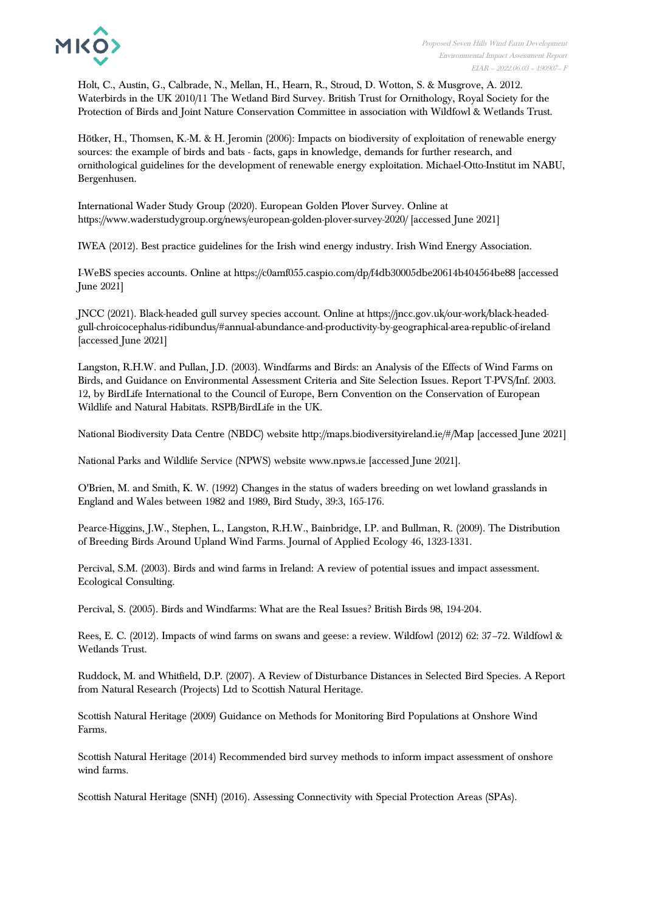

Holt, C., Austin, G., Calbrade, N., Mellan, H., Hearn, R., Stroud, D. Wotton, S. & Musgrove, A. 2012. Waterbirds in the UK 2010/11 The Wetland Bird Survey. British Trust for Ornithology, Royal Society for the Protection of Birds and Joint Nature Conservation Committee in association with Wildfowl & Wetlands Trust.

Hötker, H., Thomsen, K.-M. & H. Jeromin (2006): Impacts on biodiversity of exploitation of renewable energy sources: the example of birds and bats - facts, gaps in knowledge, demands for further research, and ornithological guidelines for the development of renewable energy exploitation. Michael-Otto-Institut im NABU, Bergenhusen.

International Wader Study Group (2020). European Golden Plover Survey. Online at https://www.waderstudygroup.org/news/european-golden-plover-survey-2020/ [accessed June 2021]

IWEA (2012). Best practice guidelines for the Irish wind energy industry. Irish Wind Energy Association.

I-WeBS species accounts. Online at https://c0amf055.caspio.com/dp/f4db30005dbe20614b404564be88 [accessed June 2021]

JNCC (2021). Black-headed gull survey species account. Online at https://jncc.gov.uk/our-work/black-headedgull-chroicocephalus-ridibundus/#annual-abundance-and-productivity-by-geographical-area-republic-of-ireland [accessed June 2021]

Langston, R.H.W. and Pullan, J.D. (2003). Windfarms and Birds: an Analysis of the Effects of Wind Farms on Birds, and Guidance on Environmental Assessment Criteria and Site Selection Issues. Report T-PVS/Inf. 2003. 12, by BirdLife International to the Council of Europe, Bern Convention on the Conservation of European Wildlife and Natural Habitats. RSPB/BirdLife in the UK.

National Biodiversity Data Centre (NBDC) website http://maps.biodiversityireland.ie/#/Map [accessed June 2021]

National Parks and Wildlife Service (NPWS) website www.npws.ie [accessed June 2021].

O'Brien, M. and Smith, K. W. (1992) Changes in the status of waders breeding on wet lowland grasslands in England and Wales between 1982 and 1989, Bird Study, 39:3, 165-176.

Pearce-Higgins, J.W., Stephen, L., Langston, R.H.W., Bainbridge, I.P. and Bullman, R. (2009). The Distribution of Breeding Birds Around Upland Wind Farms. Journal of Applied Ecology 46, 1323-1331.

Percival, S.M. (2003). Birds and wind farms in Ireland: A review of potential issues and impact assessment. Ecological Consulting.

Percival, S. (2005). Birds and Windfarms: What are the Real Issues? British Birds 98, 194-204.

Rees, E. C. (2012). Impacts of wind farms on swans and geese: a review. Wildfowl (2012) 62: 37–72. Wildfowl & Wetlands Trust.

Ruddock, M. and Whitfield, D.P. (2007). A Review of Disturbance Distances in Selected Bird Species. A Report from Natural Research (Projects) Ltd to Scottish Natural Heritage.

Scottish Natural Heritage (2009) Guidance on Methods for Monitoring Bird Populations at Onshore Wind Farms.

Scottish Natural Heritage (2014) Recommended bird survey methods to inform impact assessment of onshore wind farms.

Scottish Natural Heritage (SNH) (2016). Assessing Connectivity with Special Protection Areas (SPAs).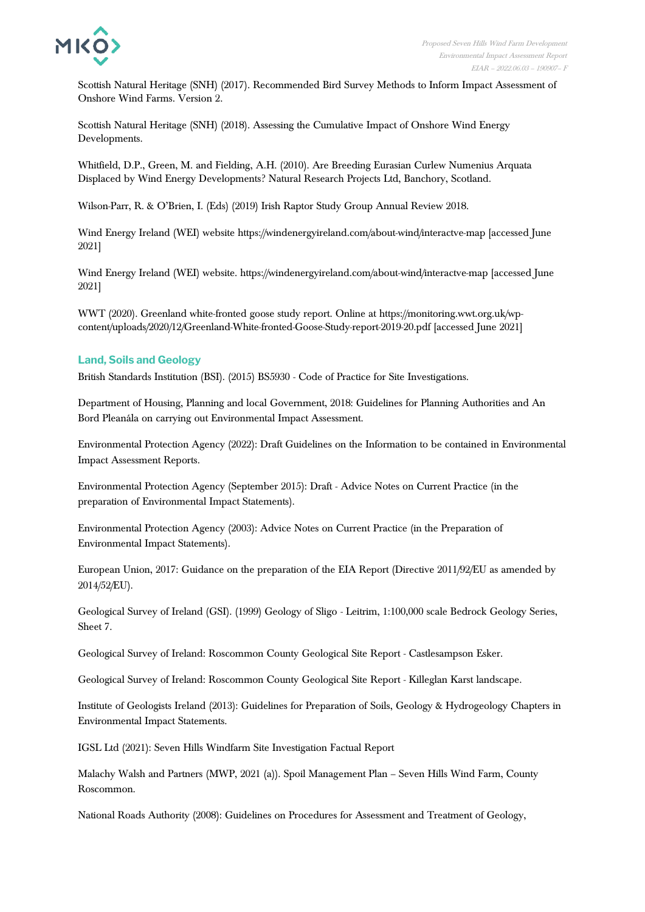

Scottish Natural Heritage (SNH) (2017). Recommended Bird Survey Methods to Inform Impact Assessment of Onshore Wind Farms. Version 2.

Scottish Natural Heritage (SNH) (2018). Assessing the Cumulative Impact of Onshore Wind Energy Developments.

Whitfield, D.P., Green, M. and Fielding, A.H. (2010). Are Breeding Eurasian Curlew Numenius Arquata Displaced by Wind Energy Developments? Natural Research Projects Ltd, Banchory, Scotland.

Wilson-Parr, R. & O'Brien, I. (Eds) (2019) Irish Raptor Study Group Annual Review 2018.

Wind Energy Ireland (WEI) website https://windenergyireland.com/about-wind/interactve-map [accessed June 2021]

Wind Energy Ireland (WEI) website. https://windenergyireland.com/about-wind/interactve-map [accessed June 2021]

WWT (2020). Greenland white-fronted goose study report. Online at https://monitoring.wwt.org.uk/wpcontent/uploads/2020/12/Greenland-White-fronted-Goose-Study-report-2019-20.pdf [accessed June 2021]

### **Land, Soils and Geology**

British Standards Institution (BSI). (2015) BS5930 - Code of Practice for Site Investigations.

Department of Housing, Planning and local Government, 2018: Guidelines for Planning Authorities and An Bord Pleanála on carrying out Environmental Impact Assessment.

Environmental Protection Agency (2022): Draft Guidelines on the Information to be contained in Environmental Impact Assessment Reports.

Environmental Protection Agency (September 2015): Draft - Advice Notes on Current Practice (in the preparation of Environmental Impact Statements).

Environmental Protection Agency (2003): Advice Notes on Current Practice (in the Preparation of Environmental Impact Statements).

European Union, 2017: Guidance on the preparation of the EIA Report (Directive 2011/92/EU as amended by 2014/52/EU).

Geological Survey of Ireland (GSI). (1999) Geology of Sligo - Leitrim, 1:100,000 scale Bedrock Geology Series, Sheet 7.

Geological Survey of Ireland: Roscommon County Geological Site Report - Castlesampson Esker.

Geological Survey of Ireland: Roscommon County Geological Site Report - Killeglan Karst landscape.

Institute of Geologists Ireland (2013): Guidelines for Preparation of Soils, Geology & Hydrogeology Chapters in Environmental Impact Statements.

IGSL Ltd (2021): Seven Hills Windfarm Site Investigation Factual Report

Malachy Walsh and Partners (MWP, 2021 (a)). Spoil Management Plan – Seven Hills Wind Farm, County Roscommon.

National Roads Authority (2008): Guidelines on Procedures for Assessment and Treatment of Geology,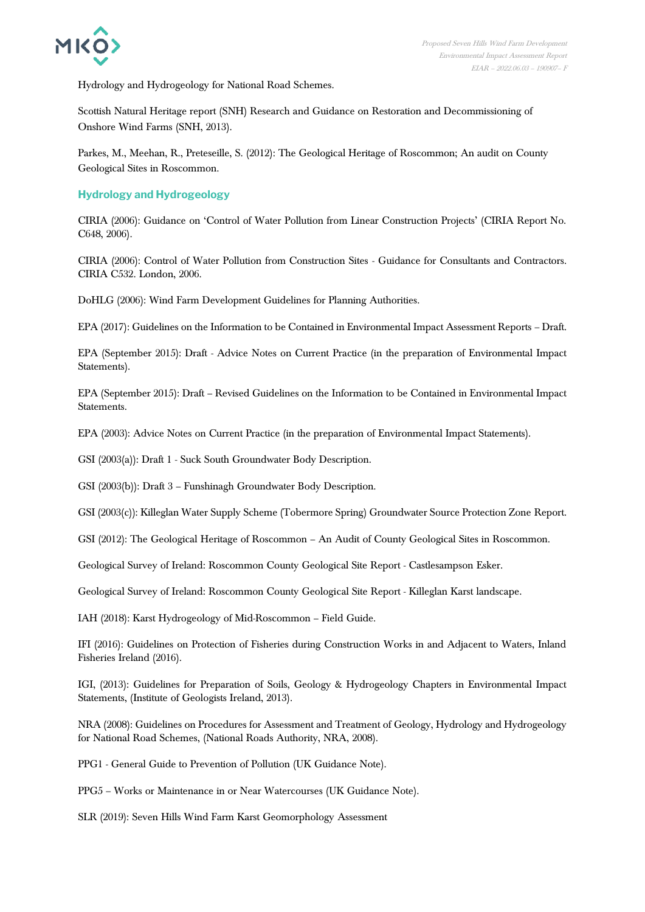

Hydrology and Hydrogeology for National Road Schemes.

Scottish Natural Heritage report (SNH) Research and Guidance on Restoration and Decommissioning of Onshore Wind Farms (SNH, 2013).

Parkes, M., Meehan, R., Preteseille, S. (2012): The Geological Heritage of Roscommon; An audit on County Geological Sites in Roscommon.

**Hydrology and Hydrogeology**

CIRIA (2006): Guidance on 'Control of Water Pollution from Linear Construction Projects' (CIRIA Report No. C648, 2006).

CIRIA (2006): Control of Water Pollution from Construction Sites - Guidance for Consultants and Contractors. CIRIA C532. London, 2006.

DoHLG (2006): Wind Farm Development Guidelines for Planning Authorities.

EPA (2017): Guidelines on the Information to be Contained in Environmental Impact Assessment Reports – Draft.

EPA (September 2015): Draft - Advice Notes on Current Practice (in the preparation of Environmental Impact Statements).

EPA (September 2015): Draft – Revised Guidelines on the Information to be Contained in Environmental Impact Statements.

EPA (2003): Advice Notes on Current Practice (in the preparation of Environmental Impact Statements).

GSI (2003(a)): Draft 1 - Suck South Groundwater Body Description.

GSI (2003(b)): Draft 3 – Funshinagh Groundwater Body Description.

GSI (2003(c)): Killeglan Water Supply Scheme (Tobermore Spring) Groundwater Source Protection Zone Report.

GSI (2012): The Geological Heritage of Roscommon – An Audit of County Geological Sites in Roscommon.

Geological Survey of Ireland: Roscommon County Geological Site Report - Castlesampson Esker.

Geological Survey of Ireland: Roscommon County Geological Site Report - Killeglan Karst landscape.

IAH (2018): Karst Hydrogeology of Mid-Roscommon – Field Guide.

IFI (2016): Guidelines on Protection of Fisheries during Construction Works in and Adjacent to Waters, Inland Fisheries Ireland (2016).

IGI, (2013): Guidelines for Preparation of Soils, Geology & Hydrogeology Chapters in Environmental Impact Statements, (Institute of Geologists Ireland, 2013).

NRA (2008): Guidelines on Procedures for Assessment and Treatment of Geology, Hydrology and Hydrogeology for National Road Schemes, (National Roads Authority, NRA, 2008).

PPG1 - General Guide to Prevention of Pollution (UK Guidance Note).

PPG5 – Works or Maintenance in or Near Watercourses (UK Guidance Note).

SLR (2019): Seven Hills Wind Farm Karst Geomorphology Assessment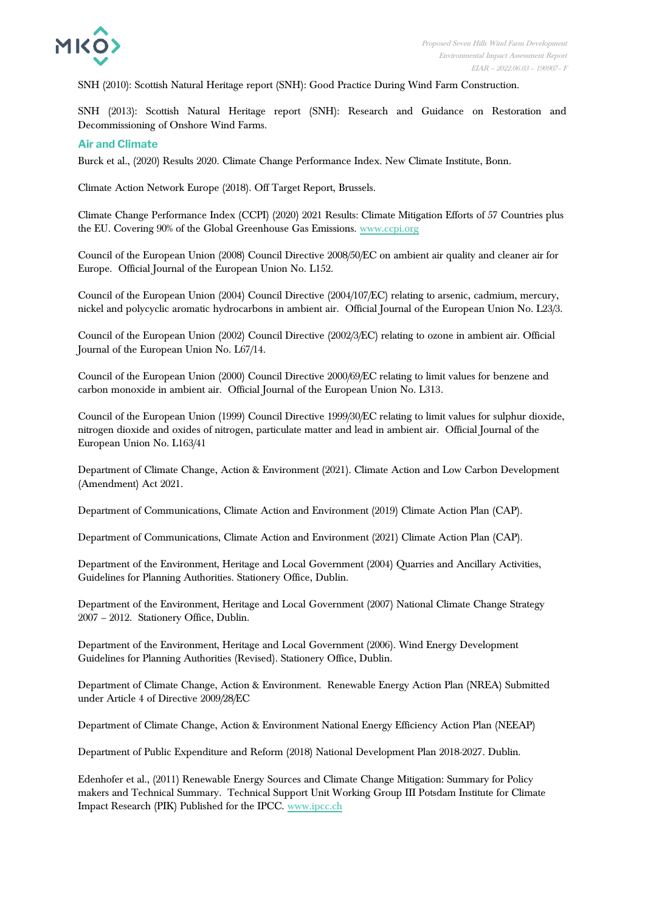

SNH (2010): Scottish Natural Heritage report (SNH): Good Practice During Wind Farm Construction.

SNH (2013): Scottish Natural Heritage report (SNH): Research and Guidance on Restoration and Decommissioning of Onshore Wind Farms.

#### **Air and Climate**

Burck et al., (2020) Results 2020. Climate Change Performance Index. New Climate Institute, Bonn.

Climate Action Network Europe (2018). Off Target Report, Brussels.

Climate Change Performance Index (CCPI) (2020) 2021 Results: Climate Mitigation Efforts of 57 Countries plus the EU. Covering 90% of the Global Greenhouse Gas Emissions. [www.ccpi.org](https://ccpi.org/download/the-climate-change-performance-index-2021/)

Council of the European Union (2008) Council Directive 2008/50/EC on ambient air quality and cleaner air for Europe. Official Journal of the European Union No. L152.

Council of the European Union (2004) Council Directive (2004/107/EC) relating to arsenic, cadmium, mercury, nickel and polycyclic aromatic hydrocarbons in ambient air. Official Journal of the European Union No. L23/3.

Council of the European Union (2002) Council Directive (2002/3/EC) relating to ozone in ambient air. Official Journal of the European Union No. L67/14.

Council of the European Union (2000) Council Directive 2000/69/EC relating to limit values for benzene and carbon monoxide in ambient air. Official Journal of the European Union No. L313.

Council of the European Union (1999) Council Directive 1999/30/EC relating to limit values for sulphur dioxide, nitrogen dioxide and oxides of nitrogen, particulate matter and lead in ambient air. Official Journal of the European Union No. L163/41

Department of Climate Change, Action & Environment (2021). Climate Action and Low Carbon Development (Amendment) Act 2021.

Department of Communications, Climate Action and Environment (2019) Climate Action Plan (CAP).

Department of Communications, Climate Action and Environment (2021) Climate Action Plan (CAP).

Department of the Environment, Heritage and Local Government (2004) Quarries and Ancillary Activities, Guidelines for Planning Authorities. Stationery Office, Dublin.

Department of the Environment, Heritage and Local Government (2007) National Climate Change Strategy 2007 – 2012. Stationery Office, Dublin.

Department of the Environment, Heritage and Local Government (2006). Wind Energy Development Guidelines for Planning Authorities (Revised). Stationery Office, Dublin.

Department of Climate Change, Action & Environment. Renewable Energy Action Plan (NREA) Submitted under Article 4 of Directive 2009/28/EC

Department of Climate Change, Action & Environment National Energy Efficiency Action Plan (NEEAP)

Department of Public Expenditure and Reform (2018) National Development Plan 2018-2027. Dublin.

Edenhofer et al., (2011) Renewable Energy Sources and Climate Change Mitigation: Summary for Policy makers and Technical Summary. Technical Support Unit Working Group III Potsdam Institute for Climate Impact Research (PIK) Published for the IPCC. [www.ipcc.ch](https://www.ipcc.ch/site/assets/uploads/2018/03/SRREN_FD_SPM_final-1.pdf)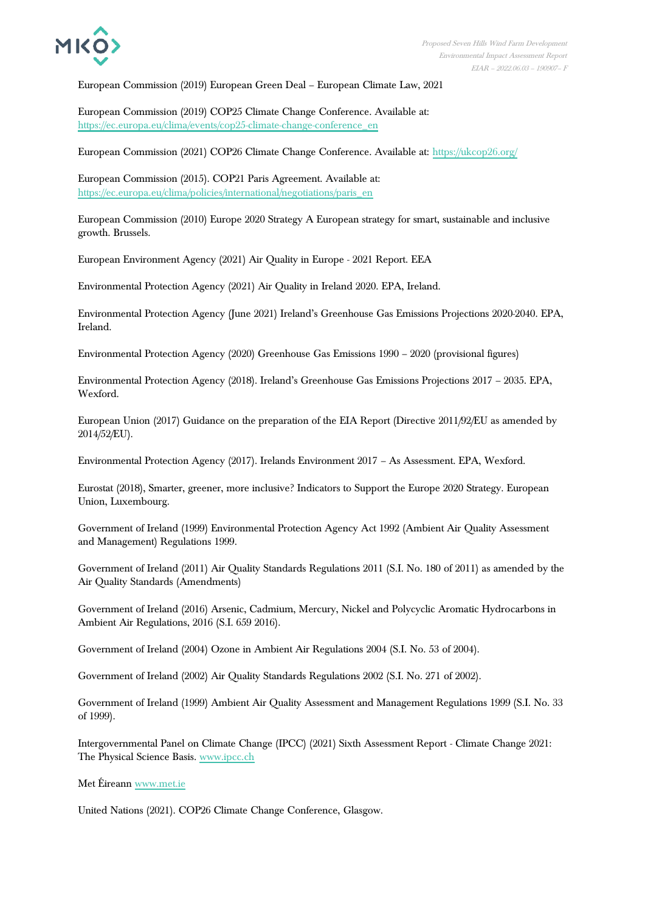

European Commission (2019) European Green Deal – European Climate Law, 2021

European Commission (2019) COP25 Climate Change Conference. Available at: [https://ec.europa.eu/clima/events/cop25-climate-change-conference\\_en](https://ec.europa.eu/clima/events/cop25-climate-change-conference_en)

European Commission (2021) COP26 Climate Change Conference. Available at:<https://ukcop26.org/>

European Commission (2015). COP21 Paris Agreement. Available at: [https://ec.europa.eu/clima/policies/international/negotiations/paris\\_en](https://ec.europa.eu/clima/policies/international/negotiations/paris_en)

European Commission (2010) Europe 2020 Strategy A European strategy for smart, sustainable and inclusive growth. Brussels.

European Environment Agency (2021) Air Quality in Europe - 2021 Report. EEA

Environmental Protection Agency (2021) Air Quality in Ireland 2020. EPA, Ireland.

Environmental Protection Agency (June 2021) Ireland's Greenhouse Gas Emissions Projections 2020-2040. EPA, Ireland.

Environmental Protection Agency (2020) Greenhouse Gas Emissions 1990 – 2020 (provisional figures)

Environmental Protection Agency (2018). Ireland's Greenhouse Gas Emissions Projections 2017 – 2035. EPA, Wexford.

European Union (2017) Guidance on the preparation of the EIA Report (Directive 2011/92/EU as amended by 2014/52/EU).

Environmental Protection Agency (2017). Irelands Environment 2017 – As Assessment. EPA, Wexford.

Eurostat (2018), Smarter, greener, more inclusive? Indicators to Support the Europe 2020 Strategy. European Union, Luxembourg.

Government of Ireland (1999) Environmental Protection Agency Act 1992 (Ambient Air Quality Assessment and Management) Regulations 1999.

Government of Ireland (2011) Air Quality Standards Regulations 2011 (S.I. No. 180 of 2011) as amended by the Air Quality Standards (Amendments)

Government of Ireland (2016) Arsenic, Cadmium, Mercury, Nickel and Polycyclic Aromatic Hydrocarbons in Ambient Air Regulations, 2016 (S.I. 659 2016).

Government of Ireland (2004) Ozone in Ambient Air Regulations 2004 (S.I. No. 53 of 2004).

Government of Ireland (2002) Air Quality Standards Regulations 2002 (S.I. No. 271 of 2002).

Government of Ireland (1999) Ambient Air Quality Assessment and Management Regulations 1999 (S.I. No. 33 of 1999).

Intergovernmental Panel on Climate Change (IPCC) (2021) Sixth Assessment Report - Climate Change 2021: The Physical Science Basis. [www.ipcc.ch](https://www.ipcc.ch/report/ar6/wg1/)

Met Éireann [www.met.ie](http://www.met.ie/)

United Nations (2021). COP26 Climate Change Conference, Glasgow.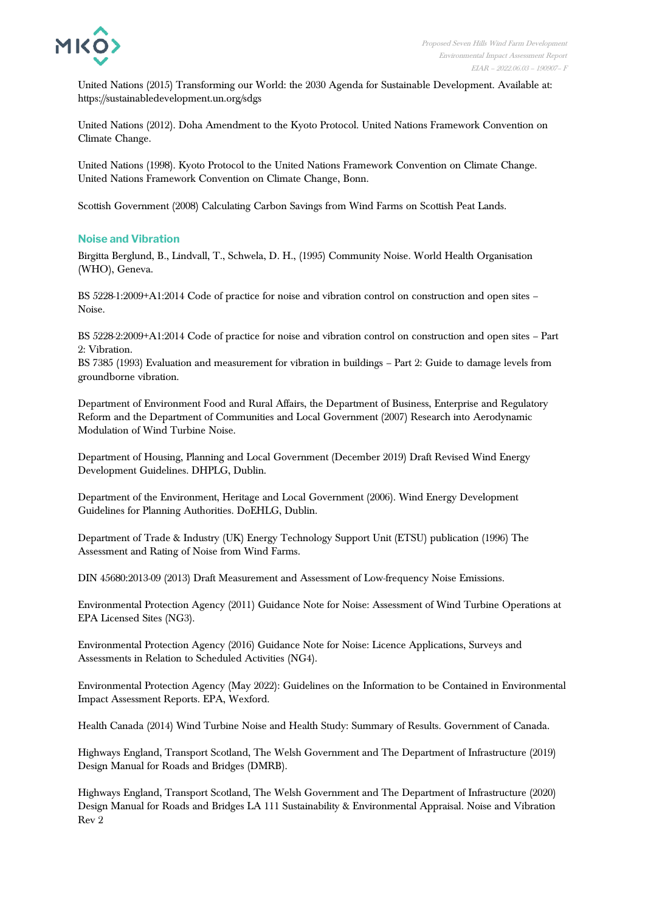

United Nations (2015) Transforming our World: the 2030 Agenda for Sustainable Development. Available at: https://sustainabledevelopment.un.org/sdgs

United Nations (2012). Doha Amendment to the Kyoto Protocol. United Nations Framework Convention on Climate Change.

United Nations (1998). Kyoto Protocol to the United Nations Framework Convention on Climate Change. United Nations Framework Convention on Climate Change, Bonn.

Scottish Government (2008) Calculating Carbon Savings from Wind Farms on Scottish Peat Lands.

## **Noise and Vibration**

Birgitta Berglund, B., Lindvall, T., Schwela, D. H., (1995) Community Noise. World Health Organisation (WHO), Geneva.

BS 5228-1:2009+A1:2014 Code of practice for noise and vibration control on construction and open sites – Noise.

BS 5228-2:2009+A1:2014 Code of practice for noise and vibration control on construction and open sites – Part 2: Vibration.

BS 7385 (1993) Evaluation and measurement for vibration in buildings – Part 2: Guide to damage levels from groundborne vibration.

Department of Environment Food and Rural Affairs, the Department of Business, Enterprise and Regulatory Reform and the Department of Communities and Local Government (2007) Research into Aerodynamic Modulation of Wind Turbine Noise.

Department of Housing, Planning and Local Government (December 2019) Draft Revised Wind Energy Development Guidelines. DHPLG, Dublin.

Department of the Environment, Heritage and Local Government (2006). Wind Energy Development Guidelines for Planning Authorities. DoEHLG, Dublin.

Department of Trade & Industry (UK) Energy Technology Support Unit (ETSU) publication (1996) The Assessment and Rating of Noise from Wind Farms.

DIN 45680:2013-09 (2013) Draft Measurement and Assessment of Low-frequency Noise Emissions.

Environmental Protection Agency (2011) Guidance Note for Noise: Assessment of Wind Turbine Operations at EPA Licensed Sites (NG3).

Environmental Protection Agency (2016) Guidance Note for Noise: Licence Applications, Surveys and Assessments in Relation to Scheduled Activities (NG4).

Environmental Protection Agency (May 2022): Guidelines on the Information to be Contained in Environmental Impact Assessment Reports. EPA, Wexford.

Health Canada (2014) Wind Turbine Noise and Health Study: Summary of Results. Government of Canada.

Highways England, Transport Scotland, The Welsh Government and The Department of Infrastructure (2019) Design Manual for Roads and Bridges (DMRB).

Highways England, Transport Scotland, The Welsh Government and The Department of Infrastructure (2020) Design Manual for Roads and Bridges LA 111 Sustainability & Environmental Appraisal. Noise and Vibration Rev 2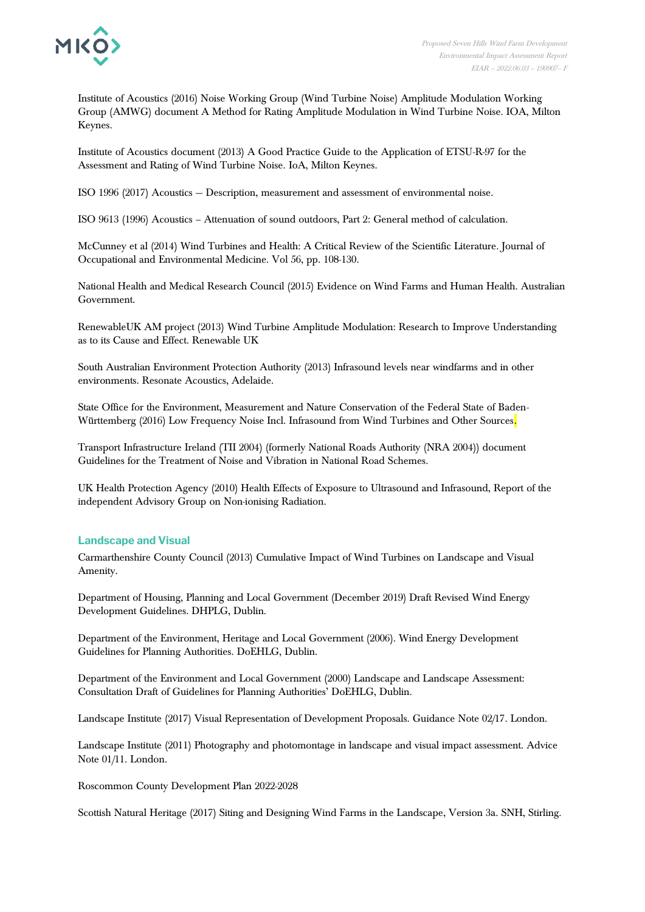

Institute of Acoustics (2016) Noise Working Group (Wind Turbine Noise) Amplitude Modulation Working Group (AMWG) document A Method for Rating Amplitude Modulation in Wind Turbine Noise. IOA, Milton Keynes.

Institute of Acoustics document (2013) A Good Practice Guide to the Application of ETSU-R-97 for the Assessment and Rating of Wind Turbine Noise. IoA, Milton Keynes.

ISO 1996 (2017) Acoustics — Description, measurement and assessment of environmental noise.

ISO 9613 (1996) Acoustics – Attenuation of sound outdoors, Part 2: General method of calculation.

McCunney et al (2014) Wind Turbines and Health: A Critical Review of the Scientific Literature. Journal of Occupational and Environmental Medicine. Vol 56, pp. 108-130.

National Health and Medical Research Council (2015) Evidence on Wind Farms and Human Health. Australian Government.

RenewableUK AM project (2013) Wind Turbine Amplitude Modulation: Research to Improve Understanding as to its Cause and Effect. Renewable UK

South Australian Environment Protection Authority (2013) Infrasound levels near windfarms and in other environments. Resonate Acoustics, Adelaide.

State Office for the Environment, Measurement and Nature Conservation of the Federal State of Baden-Württemberg (2016) Low Frequency Noise Incl. Infrasound from Wind Turbines and Other Sources.

Transport Infrastructure Ireland (TII 2004) (formerly National Roads Authority (NRA 2004)) document Guidelines for the Treatment of Noise and Vibration in National Road Schemes.

UK Health Protection Agency (2010) Health Effects of Exposure to Ultrasound and Infrasound, Report of the independent Advisory Group on Non-ionising Radiation.

### **Landscape and Visual**

Carmarthenshire County Council (2013) Cumulative Impact of Wind Turbines on Landscape and Visual Amenity.

Department of Housing, Planning and Local Government (December 2019) Draft Revised Wind Energy Development Guidelines. DHPLG, Dublin.

Department of the Environment, Heritage and Local Government (2006). Wind Energy Development Guidelines for Planning Authorities. DoEHLG, Dublin.

Department of the Environment and Local Government (2000) Landscape and Landscape Assessment: Consultation Draft of Guidelines for Planning Authorities' DoEHLG, Dublin.

Landscape Institute (2017) Visual Representation of Development Proposals. Guidance Note 02/17. London.

Landscape Institute (2011) Photography and photomontage in landscape and visual impact assessment. Advice Note 01/11. London.

Roscommon County Development Plan 2022-2028

Scottish Natural Heritage (2017) Siting and Designing Wind Farms in the Landscape, Version 3a. SNH, Stirling.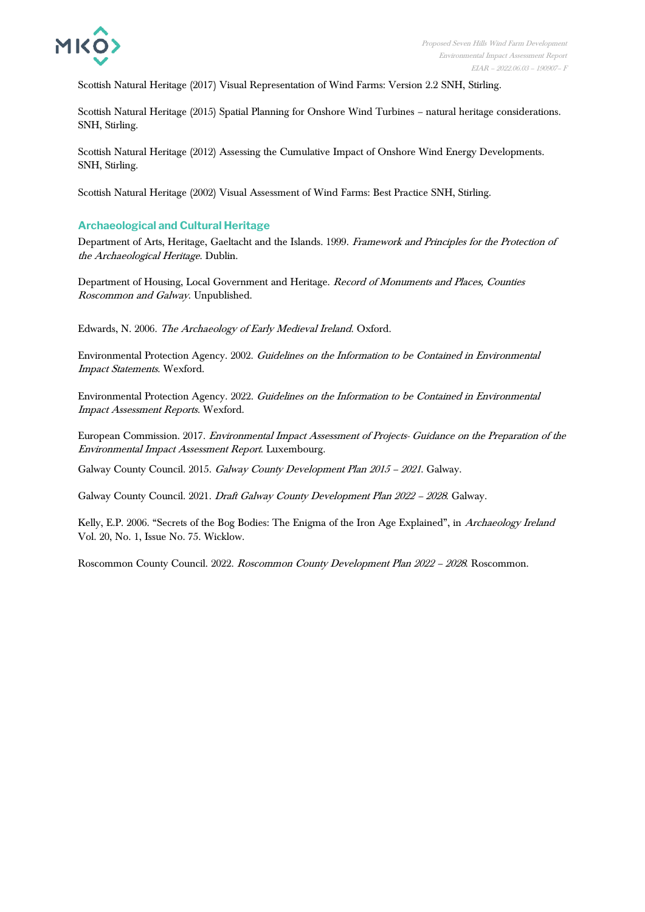

Scottish Natural Heritage (2017) Visual Representation of Wind Farms: Version 2.2 SNH, Stirling.

Scottish Natural Heritage (2015) Spatial Planning for Onshore Wind Turbines – natural heritage considerations. SNH, Stirling.

Scottish Natural Heritage (2012) Assessing the Cumulative Impact of Onshore Wind Energy Developments. SNH, Stirling.

Scottish Natural Heritage (2002) Visual Assessment of Wind Farms: Best Practice SNH, Stirling.

### **Archaeological and Cultural Heritage**

Department of Arts, Heritage, Gaeltacht and the Islands. 1999. Framework and Principles for the Protection of the Archaeological Heritage. Dublin.

Department of Housing, Local Government and Heritage. Record of Monuments and Places, Counties Roscommon and Galway. Unpublished.

Edwards, N. 2006. The Archaeology of Early Medieval Ireland. Oxford.

Environmental Protection Agency. 2002. Guidelines on the Information to be Contained in Environmental Impact Statements. Wexford.

Environmental Protection Agency. 2022. Guidelines on the Information to be Contained in Environmental Impact Assessment Reports. Wexford.

European Commission. 2017. Environmental Impact Assessment of Projects- Guidance on the Preparation of the Environmental Impact Assessment Report. Luxembourg.

Galway County Council. 2015. Galway County Development Plan 2015 – <sup>2021</sup>. Galway.

Galway County Council. 2021. Draft Galway County Development Plan 2022 – <sup>2028</sup>. Galway.

Kelly, E.P. 2006. "Secrets of the Bog Bodies: The Enigma of the Iron Age Explained", in Archaeology Ireland Vol. 20, No. 1, Issue No. 75. Wicklow.

Roscommon County Council. 2022. Roscommon County Development Plan 2022 – <sup>2028</sup>. Roscommon.